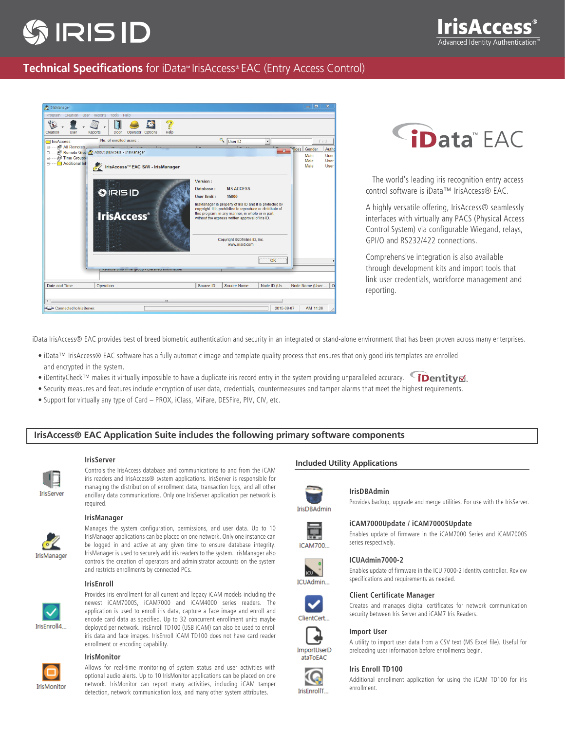# **IRIS ID**

# **Technical Specifications** for iData<sup>"</sup> IrisAccess® EAC (Entry Access Control)

| Z IrisManager                                                              |                                                                                   |                                                                                                                                                                                                                                                                                                                                                                | $\mathbf{x}$<br>$\Box$ $\Box$                |
|----------------------------------------------------------------------------|-----------------------------------------------------------------------------------|----------------------------------------------------------------------------------------------------------------------------------------------------------------------------------------------------------------------------------------------------------------------------------------------------------------------------------------------------------------|----------------------------------------------|
| Program Creation User Reports Tools Help                                   |                                                                                   |                                                                                                                                                                                                                                                                                                                                                                |                                              |
| Creation<br>User                                                           | $\overline{\mathcal{E}}$<br><b>Reports</b><br>Door<br>Options<br>Help<br>Operator |                                                                                                                                                                                                                                                                                                                                                                |                                              |
| il IrisAccess                                                              | No. of enrolled users :                                                           | <b>C</b> User ID<br>$\overline{\phantom{a}}$                                                                                                                                                                                                                                                                                                                   | Find                                         |
| All Remotes<br>Ėŀ.<br>由一<br>Time Groups<br>由<br><b>Additional Inf</b><br>田 | Remote Grou & About IrisAccess - IrisManager                                      | $\overline{\mathbf{x}}$                                                                                                                                                                                                                                                                                                                                        | Gender<br>Auth<br>ffice)                     |
|                                                                            | MEAC S/W - IrisManager                                                            |                                                                                                                                                                                                                                                                                                                                                                | Male<br>User<br>Male<br>User<br>Male<br>User |
|                                                                            | \$IRISID<br><b>IrisAccess</b> <sup>®</sup>                                        | <b>Version:</b><br>Database:<br><b>MS ACCESS</b><br>User limit:<br>15000<br>IrisManager is property of Iris ID and it is protected by<br>copyright. It is prohibited to reproduce or distribute of<br>this program, in any manner, in whole or in part,<br>without the express written approval of Iris ID.<br>Copyright @2016 Iris ID, Inc.<br>www.irisid.com |                                              |
|                                                                            | <b>INCITIVIC UNIVERSITY CITY OF PERSONAL INTERNATION</b>                          | OK                                                                                                                                                                                                                                                                                                                                                             |                                              |
| Date and Time                                                              | Operation                                                                         | Source ID<br>Node ID (Us<br><b>Source Name</b>                                                                                                                                                                                                                                                                                                                 | Node Name (User                              |
| m                                                                          |                                                                                   |                                                                                                                                                                                                                                                                                                                                                                |                                              |
| 2015-09-07<br>Connected to IrisServer.<br>AM 11:26                         |                                                                                   |                                                                                                                                                                                                                                                                                                                                                                |                                              |



 The world's leading iris recognition entry access control software is iData™ IrisAccess® EAC.

A highly versatile offering, IrisAccess® seamlessly interfaces with virtually any PACS (Physical Access Control System) via configurable Wiegand, relays, GPI/O and RS232/422 connections.

Comprehensive integration is also available through development kits and import tools that link user credentials, workforce management and reporting.

iData IrisAccess® EAC provides best of breed biometric authentication and security in an integrated or stand-alone environment that has been proven across many enterprises.

- iData™ IrisAccess® EAC software has a fully automatic image and template quality process that ensures that only good iris templates are enrolled and encrypted in the system.
- iDentityCheck™ makes it virtually impossible to have a duplicate iris record entry in the system providing unparalleled accuracy. (iDentityd
- Security measures and features include encryption of user data, credentials, countermeasures and tamper alarms that meet the highest requirements.
- Support for virtually any type of Card PROX, iClass, MiFare, DESFire, PIV, CIV, etc.

### **IrisAccess® EAC Application Suite includes the following primary software components**

#### **IrisServer**

Controls the IrisAccess database and communications to and from the iCAM iris readers and IrisAccess® system applications. IrisServer is responsible for managing the distribution of enrollment data, transaction logs, and all other ancillary data communications. Only one IrisServer application per network is required.

#### **IrisManager**

**TrisManage** 

**TrisServe** 

Manages the system configuration, permissions, and user data. Up to 10 IrisManager applications can be placed on one network. Only one instance can be logged in and active at any given time to ensure database integrity. IrisManager is used to securely add iris readers to the system. IrisManager also controls the creation of operators and administrator accounts on the system

#### **IrisEnroll**

and restricts enrollments by connected PCs.



Provides iris enrollment for all current and legacy iCAM models including the newest iCAM7000S, iCAM7000 and iCAM4000 series readers. The application is used to enroll iris data, capture a face image and enroll and encode card data as specified. Up to 32 concurrent enrollment units maybe deployed per network. IrisEnroll TD100 (USB iCAM) can also be used to enroll iris data and face images. IrisEnroll iCAM TD100 does not have card reader enrollment or encoding capability.

# **IrisMonitor**

Allows for real-time monitoring of system status and user activities with optional audio alerts. Up to 10 IrisMonitor applications can be placed on one network. IrisMonitor can report many activities, including iCAM tamper IrisMonitor detection, network communication loss, and many other system attributes.

#### **Included Utility Applications**



**IrisDRAdmin** 

Provides backup, upgrade and merge utilities. For use with the IrisServer.

# iCAM700















**IrisDBAdmin**

## **iCAM7000Update / iCAM7000SUpdate**

Enables update of firmware in the iCAM7000 Series and iCAM7000S series respectively.

#### **ICUAdmin7000-2**

Enables update of firmware in the ICU 7000-2 identity controller. Review specifications and requirements as needed.

#### **Client Certificate Manager**

Creates and manages digital certificates for network communication security between Iris Server and iCAM7 Iris Readers.



A utility to import user data from a CSV text (MS Excel file). Useful for preloading user information before enrollments begin.

#### **Iris Enroll TD100**

Additional enrollment application for using the iCAM TD100 for iris enrollment.